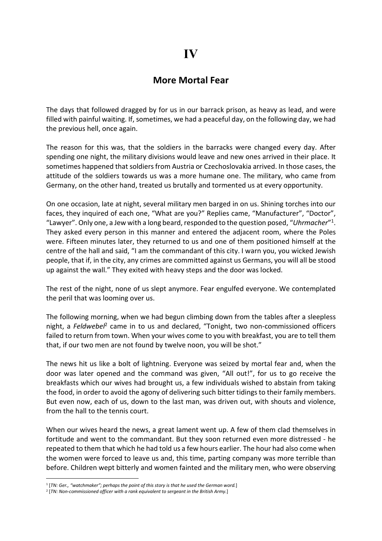## More Mortal Fear

The days that followed dragged by for us in our barrack prison, as heavy as lead, and were filled with painful waiting. If, sometimes, we had a peaceful day, on the following day, we had the previous hell, once again.

The reason for this was, that the soldiers in the barracks were changed every day. After spending one night, the military divisions would leave and new ones arrived in their place. It sometimes happened that soldiers from Austria or Czechoslovakia arrived. In those cases, the attitude of the soldiers towards us was a more humane one. The military, who came from Germany, on the other hand, treated us brutally and tormented us at every opportunity.

On one occasion, late at night, several military men barged in on us. Shining torches into our faces, they inquired of each one, "What are you?" Replies came, "Manufacturer", "Doctor", "Lawyer". Only one, a Jew with a long beard, responded to the question posed, "Uhrmacher"<sup>1</sup>. They asked every person in this manner and entered the adjacent room, where the Poles were. Fifteen minutes later, they returned to us and one of them positioned himself at the centre of the hall and said, "I am the commandant of this city. I warn you, you wicked Jewish people, that if, in the city, any crimes are committed against us Germans, you will all be stood up against the wall." They exited with heavy steps and the door was locked.

The rest of the night, none of us slept anymore. Fear engulfed everyone. We contemplated the peril that was looming over us.

The following morning, when we had begun climbing down from the tables after a sleepless night, a Feldwebel<sup>2</sup> came in to us and declared, "Tonight, two non-commissioned officers failed to return from town. When your wives come to you with breakfast, you are to tell them that, if our two men are not found by twelve noon, you will be shot."

The news hit us like a bolt of lightning. Everyone was seized by mortal fear and, when the door was later opened and the command was given, "All out!", for us to go receive the breakfasts which our wives had brought us, a few individuals wished to abstain from taking the food, in order to avoid the agony of delivering such bitter tidings to their family members. But even now, each of us, down to the last man, was driven out, with shouts and violence, from the hall to the tennis court.

When our wives heard the news, a great lament went up. A few of them clad themselves in fortitude and went to the commandant. But they soon returned even more distressed - he repeated to them that which he had told us a few hours earlier. The hour had also come when the women were forced to leave us and, this time, parting company was more terrible than before. Children wept bitterly and women fainted and the military men, who were observing

<sup>&</sup>lt;sup>1</sup> [TN: Ger., "watchmaker"; perhaps the point of this story is that he used the German word.]

 $2$  [TN: Non-commissioned officer with a rank equivalent to sergeant in the British Army.]